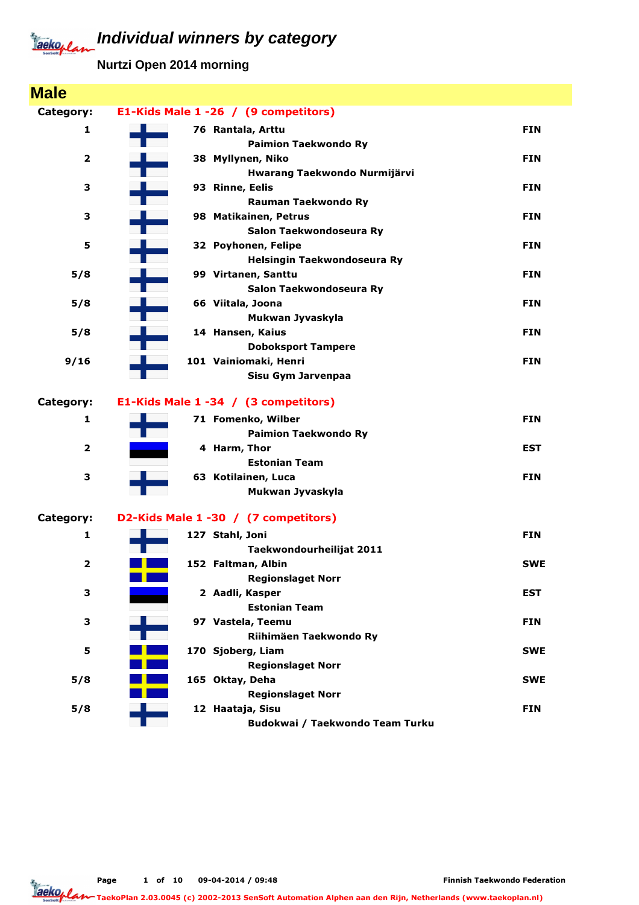**Nurtzi Open 2014 morning**

| <b>Male</b>             |                                               |            |
|-------------------------|-----------------------------------------------|------------|
| Category:               | E1-Kids Male 1 -26 / (9 competitors)          |            |
| $\mathbf{1}$            | 76 Rantala, Arttu                             | <b>FIN</b> |
|                         | <b>Paimion Taekwondo Ry</b>                   |            |
| $\overline{\mathbf{2}}$ | 38 Myllynen, Niko                             | <b>FIN</b> |
|                         | Hwarang Taekwondo Nurmijärvi                  |            |
| 3                       | 93 Rinne, Eelis                               | <b>FIN</b> |
|                         | <b>Rauman Taekwondo Ry</b>                    |            |
| 3                       | 98 Matikainen, Petrus                         | <b>FIN</b> |
|                         | Salon Taekwondoseura Ry                       |            |
| 5                       | 32 Poyhonen, Felipe                           | <b>FIN</b> |
|                         | Helsingin Taekwondoseura Ry                   |            |
| 5/8                     | 99 Virtanen, Santtu                           | <b>FIN</b> |
| 5/8                     | Salon Taekwondoseura Ry<br>66 Viitala, Joona  | <b>FIN</b> |
|                         | Mukwan Jyvaskyla                              |            |
| 5/8                     | 14 Hansen, Kaius                              | <b>FIN</b> |
|                         | <b>Doboksport Tampere</b>                     |            |
| 9/16                    | 101 Vainiomaki, Henri                         | <b>FIN</b> |
|                         | Sisu Gym Jarvenpaa                            |            |
|                         |                                               |            |
| Category:               | E1-Kids Male 1 -34 / (3 competitors)          |            |
| 1                       | 71 Fomenko, Wilber                            | <b>FIN</b> |
|                         | <b>Paimion Taekwondo Ry</b>                   |            |
| $\mathbf{2}$            | 4 Harm, Thor                                  | <b>EST</b> |
|                         | <b>Estonian Team</b>                          |            |
| 3                       | 63 Kotilainen, Luca                           | <b>FIN</b> |
|                         | Mukwan Jyvaskyla                              |            |
| Category:               | D2-Kids Male 1 -30 / (7 competitors)          |            |
| 1                       | 127 Stahl, Joni                               | <b>FIN</b> |
|                         | Taekwondourheilijat 2011                      |            |
| $\overline{\mathbf{2}}$ | 152 Faltman, Albin                            | <b>SWE</b> |
|                         | <b>Regionslaget Norr</b>                      |            |
| 3                       | 2 Aadli, Kasper                               | <b>EST</b> |
|                         | <b>Estonian Team</b>                          |            |
| 3                       | 97 Vastela, Teemu                             | <b>FIN</b> |
|                         | Riihimäen Taekwondo Ry                        |            |
| 5                       | 170 Sjoberg, Liam<br><b>Regionslaget Norr</b> | <b>SWE</b> |
| 5/8                     | 165 Oktay, Deha                               | <b>SWE</b> |
|                         | <b>Regionslaget Norr</b>                      |            |
| 5/8                     | 12 Haataja, Sisu                              | <b>FIN</b> |
|                         | Budokwai / Taekwondo Team Turku               |            |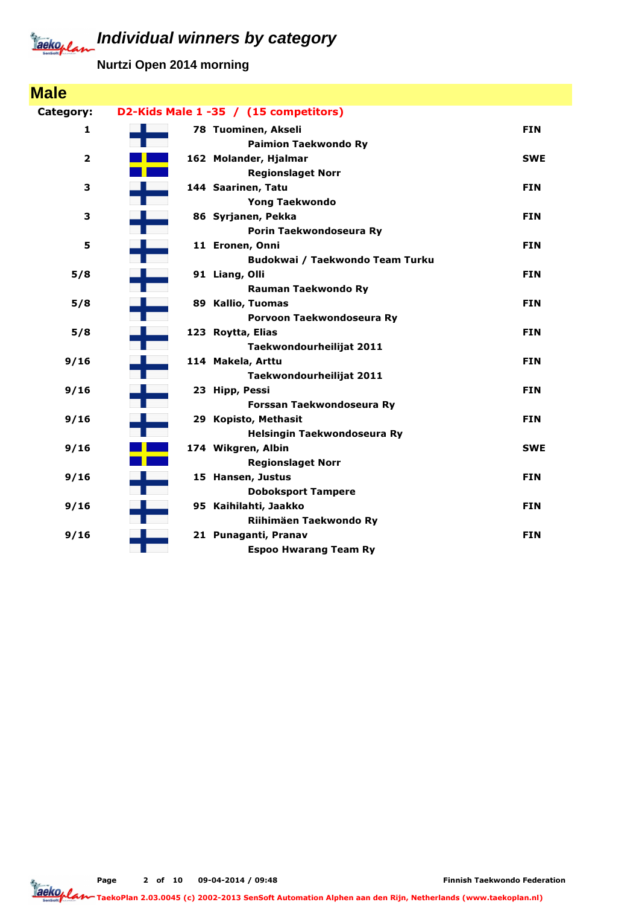**Nurtzi Open 2014 morning**

| <b>Male</b>             |                                                      |            |
|-------------------------|------------------------------------------------------|------------|
| Category:               | D2-Kids Male 1 -35 / (15 competitors)                |            |
| $\mathbf{1}$            | 78 Tuominen, Akseli<br><b>Paimion Taekwondo Ry</b>   | <b>FIN</b> |
| $\overline{\mathbf{2}}$ | 162 Molander, Hjalmar<br><b>Regionslaget Norr</b>    | <b>SWE</b> |
| 3                       | 144 Saarinen, Tatu<br><b>Yong Taekwondo</b>          | <b>FIN</b> |
| 3                       | 86 Syrjanen, Pekka<br>Porin Taekwondoseura Ry        | <b>FIN</b> |
| 5                       | 11 Eronen, Onni<br>Budokwai / Taekwondo Team Turku   | <b>FIN</b> |
| 5/8                     | 91 Liang, Olli<br>Rauman Taekwondo Ry                | <b>FIN</b> |
| 5/8                     | 89 Kallio, Tuomas<br>Porvoon Taekwondoseura Ry       | <b>FIN</b> |
| 5/8                     | 123 Roytta, Elias<br>Taekwondourheilijat 2011        | <b>FIN</b> |
| 9/16                    | 114 Makela, Arttu<br>Taekwondourheilijat 2011        | <b>FIN</b> |
| 9/16                    | 23 Hipp, Pessi<br>Forssan Taekwondoseura Ry          | <b>FIN</b> |
| 9/16                    | 29 Kopisto, Methasit<br>Helsingin Taekwondoseura Ry  | <b>FIN</b> |
| 9/16                    | 174 Wikgren, Albin<br><b>Regionslaget Norr</b>       | <b>SWE</b> |
| 9/16                    | 15 Hansen, Justus<br><b>Doboksport Tampere</b>       | <b>FIN</b> |
| 9/16                    | 95 Kaihilahti, Jaakko<br>Riihimäen Taekwondo Ry      | <b>FIN</b> |
| 9/16                    | 21 Punaganti, Pranav<br><b>Espoo Hwarang Team Ry</b> | <b>FIN</b> |

Page 2 of 10 09-04-2014 / 09:48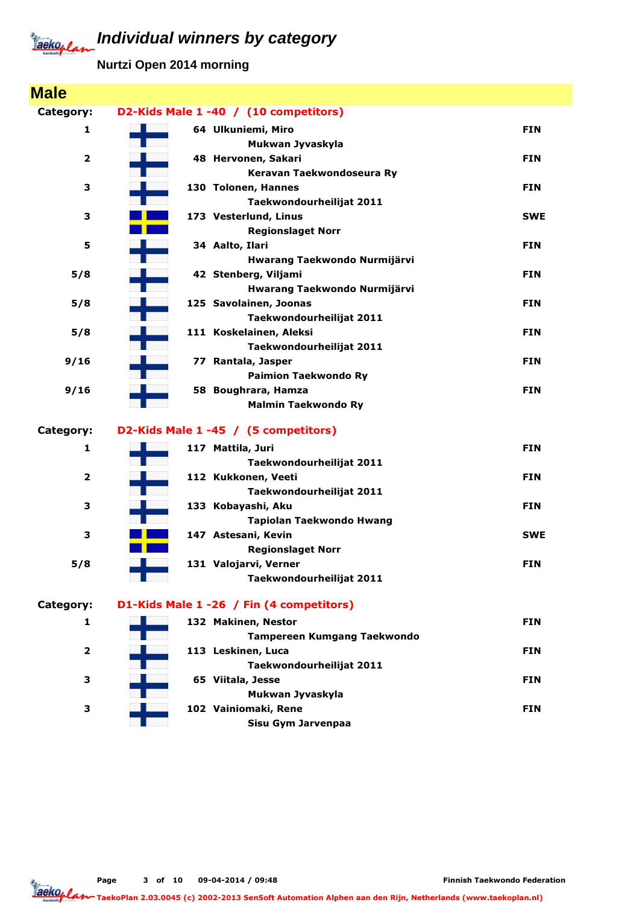**Nurtzi Open 2014 morning**

| <b>Male</b>             |                                          |            |
|-------------------------|------------------------------------------|------------|
| Category:               | D2-Kids Male 1 -40 / (10 competitors)    |            |
| 1                       | 64 Ulkuniemi, Miro                       | <b>FIN</b> |
|                         | Mukwan Jyvaskyla                         |            |
| 2                       | 48 Hervonen, Sakari                      | <b>FIN</b> |
|                         | Keravan Taekwondoseura Ry                |            |
| з                       | 130 Tolonen, Hannes                      | <b>FIN</b> |
|                         | Taekwondourheilijat 2011                 |            |
| 3                       | 173 Vesterlund, Linus                    | <b>SWE</b> |
|                         | <b>Regionslaget Norr</b>                 |            |
| 5                       | 34 Aalto, Ilari                          | <b>FIN</b> |
|                         | Hwarang Taekwondo Nurmijärvi             |            |
| 5/8                     | 42 Stenberg, Viljami                     | <b>FIN</b> |
|                         | Hwarang Taekwondo Nurmijärvi             |            |
| 5/8                     | 125 Savolainen, Joonas                   | <b>FIN</b> |
|                         | Taekwondourheilijat 2011                 |            |
| 5/8                     | 111 Koskelainen, Aleksi                  | <b>FIN</b> |
|                         | Taekwondourheilijat 2011                 |            |
| 9/16                    | 77 Rantala, Jasper                       | <b>FIN</b> |
|                         | <b>Paimion Taekwondo Ry</b>              |            |
| 9/16                    | 58 Boughrara, Hamza                      | <b>FIN</b> |
|                         | <b>Malmin Taekwondo Ry</b>               |            |
| Category:               | D2-Kids Male 1 -45 / (5 competitors)     |            |
| 1                       | 117 Mattila, Juri                        | <b>FIN</b> |
|                         | Taekwondourheilijat 2011                 |            |
| $\overline{\mathbf{2}}$ | 112 Kukkonen, Veeti                      | <b>FIN</b> |
|                         | Taekwondourheilijat 2011                 |            |
| 3                       | 133 Kobayashi, Aku                       | <b>FIN</b> |
|                         | <b>Tapiolan Taekwondo Hwang</b>          |            |
| 3                       | 147 Astesani, Kevin                      | <b>SWE</b> |
|                         | <b>Regionslaget Norr</b>                 |            |
| 5/8                     | 131 Valojarvi, Verner                    | <b>FIN</b> |
|                         | Taekwondourheilijat 2011                 |            |
| Category:               | D1-Kids Male 1 -26 / Fin (4 competitors) |            |
| 1                       | 132 Makinen, Nestor                      | <b>FIN</b> |
|                         | <b>Tampereen Kumgang Taekwondo</b>       |            |
| 2                       | 113 Leskinen, Luca                       | <b>FIN</b> |
|                         | Taekwondourheilijat 2011                 |            |
| 3                       | 65 Viitala, Jesse                        | <b>FIN</b> |
|                         | Mukwan Jyvaskyla                         |            |
| 3                       | 102 Vainiomaki, Rene                     | <b>FIN</b> |
|                         | Sisu Gym Jarvenpaa                       |            |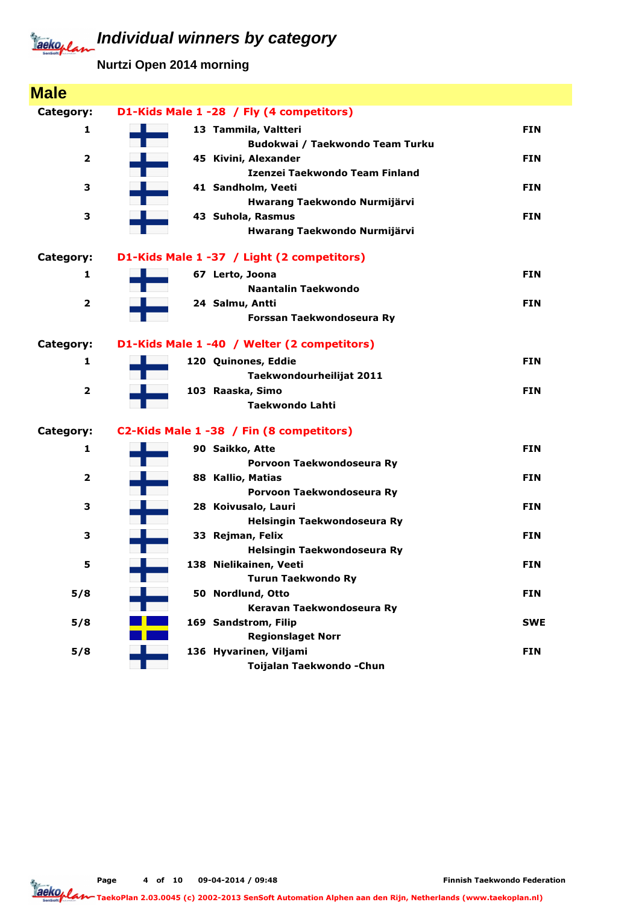**Nurtzi Open 2014 morning**

| <b>Male</b>             |                                                |            |
|-------------------------|------------------------------------------------|------------|
| Category:               | D1-Kids Male 1 -28 / Fly (4 competitors)       |            |
| 1                       | 13 Tammila, Valtteri                           | <b>FIN</b> |
|                         | Budokwai / Taekwondo Team Turku                |            |
| $\overline{\mathbf{2}}$ | 45 Kivini, Alexander                           | <b>FIN</b> |
|                         | Izenzei Taekwondo Team Finland                 |            |
| 3                       | 41 Sandholm, Veeti                             | <b>FIN</b> |
|                         | Hwarang Taekwondo Nurmijärvi                   |            |
| З                       | 43 Suhola, Rasmus                              | <b>FIN</b> |
|                         | Hwarang Taekwondo Nurmijärvi                   |            |
| Category:               | D1-Kids Male 1 -37 / Light (2 competitors)     |            |
| 1                       | 67 Lerto, Joona                                | <b>FIN</b> |
|                         | <b>Naantalin Taekwondo</b>                     |            |
| $\overline{2}$          | 24 Salmu, Antti                                | <b>FIN</b> |
|                         | Forssan Taekwondoseura Ry                      |            |
| Category:               | D1-Kids Male 1 -40 / Welter (2 competitors)    |            |
| 1                       | 120 Quinones, Eddie                            | <b>FIN</b> |
|                         | Taekwondourheilijat 2011                       |            |
| 2                       | 103 Raaska, Simo                               | <b>FIN</b> |
|                         | <b>Taekwondo Lahti</b>                         |            |
| Category:               | C2-Kids Male 1 -38 / Fin (8 competitors)       |            |
| 1                       | 90 Saikko, Atte                                | <b>FIN</b> |
|                         | Porvoon Taekwondoseura Ry                      |            |
| $\overline{\mathbf{2}}$ | 88 Kallio, Matias                              | <b>FIN</b> |
|                         | Porvoon Taekwondoseura Ry                      |            |
| З                       | 28 Koivusalo, Lauri                            | <b>FIN</b> |
|                         | Helsingin Taekwondoseura Ry                    |            |
| 3                       | 33 Rejman, Felix                               | <b>FIN</b> |
|                         | Helsingin Taekwondoseura Ry                    |            |
| 5                       | 138 Nielikainen, Veeti                         | <b>FIN</b> |
| 5/8                     | <b>Turun Taekwondo Ry</b><br>50 Nordlund, Otto | <b>FIN</b> |
|                         | Keravan Taekwondoseura Ry                      |            |
| 5/8                     | 169 Sandstrom, Filip                           | <b>SWE</b> |
|                         | <b>Regionslaget Norr</b>                       |            |
| 5/8                     | 136 Hyvarinen, Viljami                         | <b>FIN</b> |
|                         | Toijalan Taekwondo - Chun                      |            |

Page 4 of 10 09-04-2014 / 09:48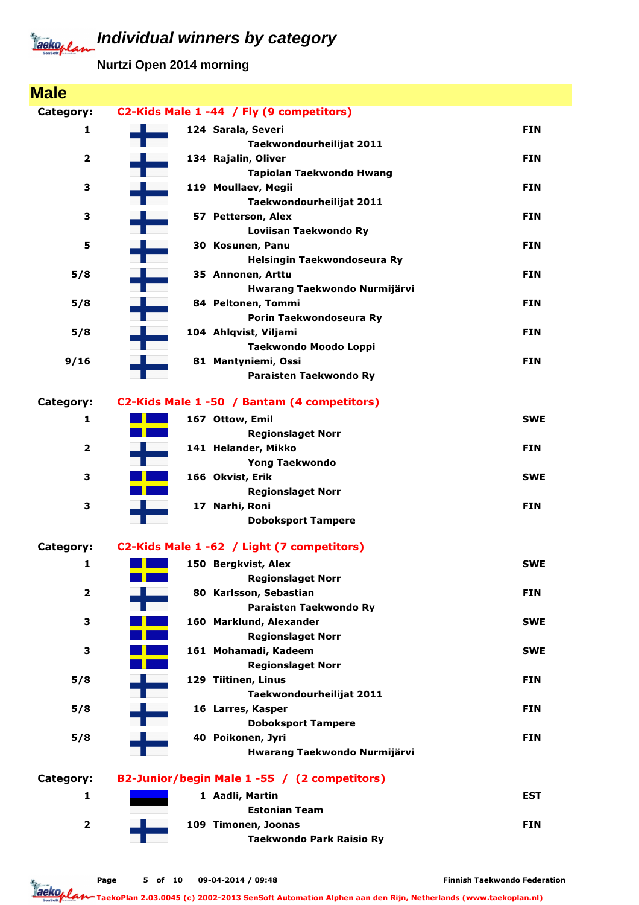## **Individual winners by category**

Jackeplan

**Nurtzi Open 2014 morning**

| <b>Male</b>             |                                                   |            |
|-------------------------|---------------------------------------------------|------------|
| Category:               | C2-Kids Male 1 -44 / Fly (9 competitors)          |            |
| $\mathbf{1}$            | 124 Sarala, Severi                                | <b>FIN</b> |
|                         | Taekwondourheilijat 2011                          |            |
| $\overline{\mathbf{2}}$ | 134 Rajalin, Oliver                               | <b>FIN</b> |
|                         | <b>Tapiolan Taekwondo Hwang</b>                   |            |
| 3                       | 119 Moullaev, Megii                               | <b>FIN</b> |
|                         | Taekwondourheilijat 2011                          |            |
| 3                       | 57 Petterson, Alex                                | <b>FIN</b> |
|                         | Loviisan Taekwondo Ry                             |            |
| 5                       | 30 Kosunen, Panu                                  | <b>FIN</b> |
| 5/8                     | Helsingin Taekwondoseura Ry<br>35 Annonen, Arttu  | <b>FIN</b> |
|                         | Hwarang Taekwondo Nurmijärvi                      |            |
| 5/8                     | 84 Peltonen, Tommi                                | <b>FIN</b> |
|                         | Porin Taekwondoseura Ry                           |            |
| 5/8                     | 104 Ahlqvist, Viljami                             | <b>FIN</b> |
|                         | Taekwondo Moodo Loppi                             |            |
| 9/16                    | 81 Mantyniemi, Ossi                               | <b>FIN</b> |
|                         | Paraisten Taekwondo Ry                            |            |
|                         |                                                   |            |
| Category:               | C2-Kids Male 1 -50 / Bantam (4 competitors)       |            |
| 1                       | 167 Ottow, Emil                                   | <b>SWE</b> |
| $\overline{2}$          | <b>Regionslaget Norr</b><br>141 Helander, Mikko   | <b>FIN</b> |
|                         | <b>Yong Taekwondo</b>                             |            |
| 3                       | 166 Okvist, Erik                                  | <b>SWE</b> |
|                         | <b>Regionslaget Norr</b>                          |            |
| З                       | 17 Narhi, Roni                                    | <b>FIN</b> |
|                         | <b>Doboksport Tampere</b>                         |            |
|                         |                                                   |            |
| Category:               | C2-Kids Male 1 -62 / Light (7 competitors)        |            |
| 1                       | 150 Bergkvist, Alex                               | <b>SWE</b> |
|                         | <b>Regionslaget Norr</b>                          |            |
| $\mathbf{2}$            | 80 Karlsson, Sebastian                            | <b>FIN</b> |
| 3                       | Paraisten Taekwondo Ry<br>160 Marklund, Alexander | <b>SWE</b> |
|                         | <b>Regionslaget Norr</b>                          |            |
| 3                       | 161 Mohamadi, Kadeem                              | <b>SWE</b> |
|                         | <b>Regionslaget Norr</b>                          |            |
| 5/8                     | 129 Tiitinen, Linus                               | <b>FIN</b> |
|                         | Taekwondourheilijat 2011                          |            |
| 5/8                     | 16 Larres, Kasper                                 | <b>FIN</b> |
|                         | <b>Doboksport Tampere</b>                         |            |
| 5/8                     | 40 Poikonen, Jyri                                 | <b>FIN</b> |
|                         | Hwarang Taekwondo Nurmijärvi                      |            |
| Category:               | B2-Junior/begin Male 1-55 / (2 competitors)       |            |
| 1                       | 1 Aadli, Martin                                   | <b>EST</b> |
|                         | <b>Estonian Team</b>                              |            |
| $\overline{\mathbf{2}}$ | 109 Timonen, Joonas                               | <b>FIN</b> |
|                         | <b>Taekwondo Park Raisio Ry</b>                   |            |
|                         |                                                   |            |
|                         |                                                   |            |

TaekoPlan 2.03.0045 (c) 2002-2013 SenSoft Automation Alphen aan den Rijn, Netherlands (www.taekoplan.nl)

Page 5 of 10 09-04-2014 / 09:48

Jackoplan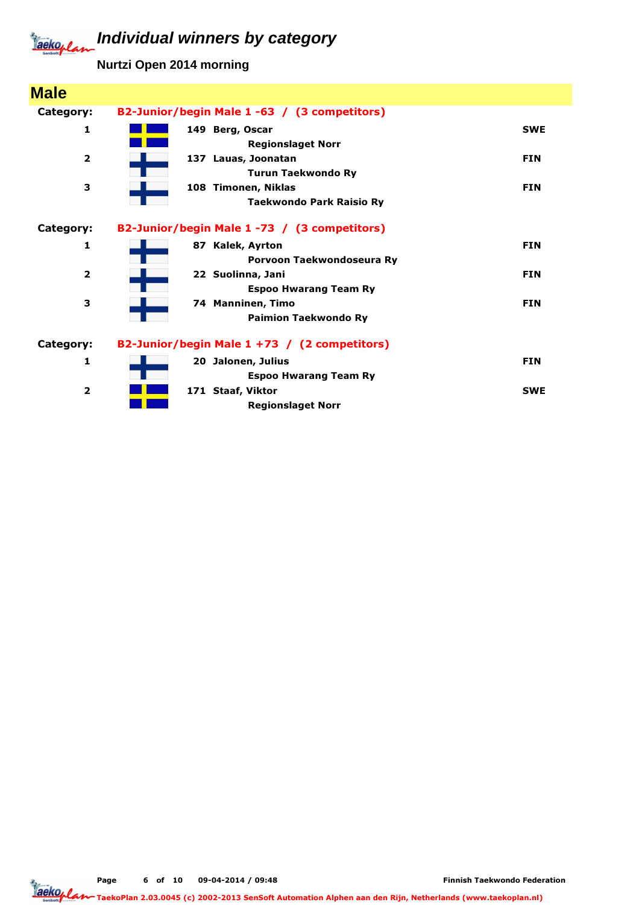**Nurtzi Open 2014 morning**

| <b>Male</b>             |                                                        |            |
|-------------------------|--------------------------------------------------------|------------|
| Category:               | B2-Junior/begin Male 1-63 / (3 competitors)            |            |
| 1                       | 149 Berg, Oscar<br><b>Regionslaget Norr</b>            | <b>SWE</b> |
| $\overline{\mathbf{2}}$ | 137 Lauas, Joonatan<br><b>Turun Taekwondo Ry</b>       | <b>FIN</b> |
| 3                       | 108 Timonen, Niklas<br><b>Taekwondo Park Raisio Ry</b> | <b>FIN</b> |
| Category:               | B2-Junior/begin Male 1-73 / (3 competitors)            |            |
| 1                       | 87 Kalek, Ayrton<br>Porvoon Taekwondoseura Ry          | <b>FIN</b> |
| $\overline{2}$          | 22 Suolinna, Jani<br><b>Espoo Hwarang Team Ry</b>      | <b>FIN</b> |
| 3                       | 74 Manninen, Timo<br><b>Paimion Taekwondo Ry</b>       | <b>FIN</b> |
| Category:               | B2-Junior/begin Male 1 +73 / (2 competitors)           |            |
| 1                       | 20 Jalonen, Julius<br><b>Espoo Hwarang Team Ry</b>     | <b>FIN</b> |
| $\overline{\mathbf{2}}$ | 171 Staaf, Viktor<br><b>Regionslaget Norr</b>          | <b>SWE</b> |

Page 6 of 10 09-04-2014 / 09:48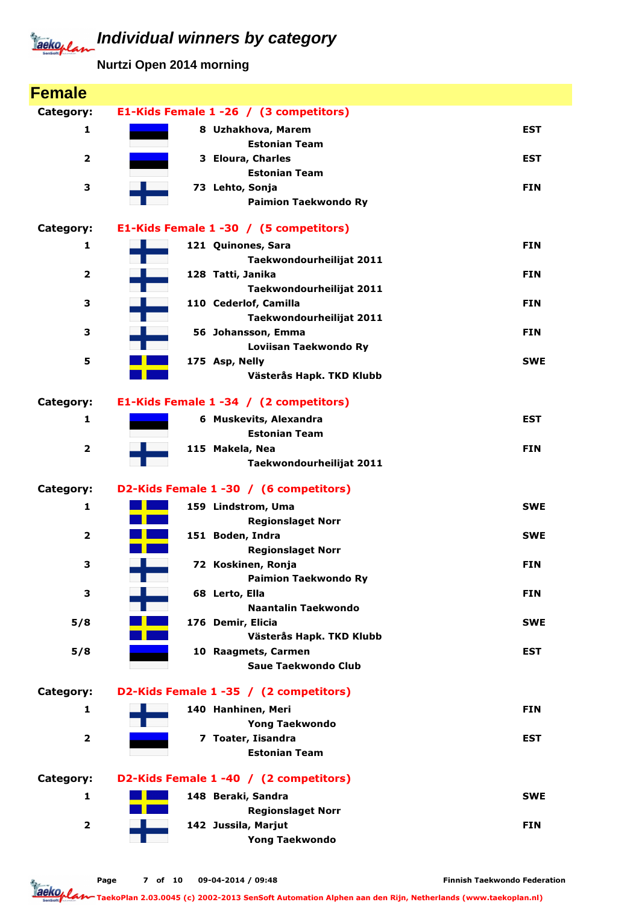**Nurtzi Open 2014 morning**

| <b>Female</b>           |                                              |            |
|-------------------------|----------------------------------------------|------------|
| Category:               | E1-Kids Female 1 -26 / (3 competitors)       |            |
| 1                       | 8 Uzhakhova, Marem                           | <b>EST</b> |
|                         | <b>Estonian Team</b>                         |            |
| $\overline{\mathbf{2}}$ | 3 Eloura, Charles                            | <b>EST</b> |
|                         | <b>Estonian Team</b>                         |            |
| З                       | 73 Lehto, Sonja                              | <b>FIN</b> |
|                         | <b>Paimion Taekwondo Ry</b>                  |            |
| Category:               | E1-Kids Female 1 -30 / (5 competitors)       |            |
| 1                       | 121 Quinones, Sara                           | <b>FIN</b> |
|                         | Taekwondourheilijat 2011                     |            |
| $\overline{\mathbf{2}}$ | 128 Tatti, Janika                            | <b>FIN</b> |
|                         | Taekwondourheilijat 2011                     |            |
| 3                       | 110 Cederlof, Camilla                        | <b>FIN</b> |
|                         | Taekwondourheilijat 2011                     |            |
| 3                       | 56 Johansson, Emma                           | <b>FIN</b> |
|                         | Loviisan Taekwondo Ry                        |            |
| 5                       | 175 Asp, Nelly                               | <b>SWE</b> |
|                         | Västerås Hapk. TKD Klubb                     |            |
| Category:               | E1-Kids Female 1 -34 / (2 competitors)       |            |
| $\mathbf{1}$            | 6 Muskevits, Alexandra                       | <b>EST</b> |
|                         | <b>Estonian Team</b>                         |            |
| $\overline{2}$          | 115 Makela, Nea                              | <b>FIN</b> |
|                         | Taekwondourheilijat 2011                     |            |
|                         |                                              |            |
| Category:               | D2-Kids Female 1 -30 / (6 competitors)       |            |
| 1                       | 159 Lindstrom, Uma                           | <b>SWE</b> |
|                         | <b>Regionslaget Norr</b>                     |            |
| $\overline{2}$          | 151 Boden, Indra<br><b>Regionslaget Norr</b> | <b>SWE</b> |
| з                       | 72 Koskinen, Ronja                           | <b>FIN</b> |
|                         | <b>Paimion Taekwondo Ry</b>                  |            |
| 3                       | 68 Lerto, Ella                               | <b>FIN</b> |
|                         | <b>Naantalin Taekwondo</b>                   |            |
| 5/8                     | 176 Demir, Elicia                            | <b>SWE</b> |
|                         | Västerås Hapk. TKD Klubb                     |            |
| 5/8                     | 10 Raagmets, Carmen                          | <b>EST</b> |
|                         | Saue Taekwondo Club                          |            |
|                         |                                              |            |
| Category:               | D2-Kids Female 1 -35 / (2 competitors)       |            |
| 1                       | 140 Hanhinen, Meri                           | <b>FIN</b> |
|                         | <b>Yong Taekwondo</b>                        |            |
| $\overline{\mathbf{2}}$ | 7 Toater, Iisandra<br><b>Estonian Team</b>   | <b>EST</b> |
|                         |                                              |            |
| Category:               | D2-Kids Female 1 -40 / (2 competitors)       |            |
| 1                       | 148 Beraki, Sandra                           | <b>SWE</b> |
|                         | <b>Regionslaget Norr</b>                     |            |
| $\mathbf{2}$            | 142 Jussila, Marjut                          | <b>FIN</b> |
|                         | <b>Yong Taekwondo</b>                        |            |
|                         |                                              |            |

Page 7 of 10 09-04-2014 / 09:48

Finnish Taekwondo Federation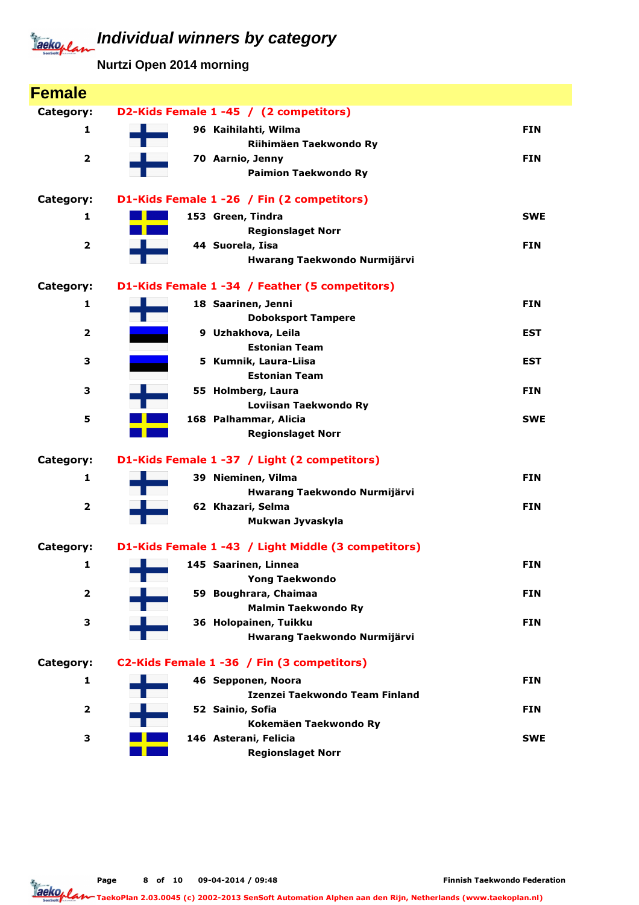**Nurtzi Open 2014 morning**

| <b>Female</b>           |                                                     |            |
|-------------------------|-----------------------------------------------------|------------|
| Category:               | D2-Kids Female 1 -45 / (2 competitors)              |            |
| $\mathbf{1}$            | 96 Kaihilahti, Wilma                                | <b>FIN</b> |
|                         | Riihimäen Taekwondo Ry                              |            |
| $\overline{\mathbf{2}}$ | 70 Aarnio, Jenny                                    | <b>FIN</b> |
|                         | <b>Paimion Taekwondo Ry</b>                         |            |
|                         |                                                     |            |
| Category:               | D1-Kids Female 1 -26 / Fin (2 competitors)          |            |
| 1                       | 153 Green, Tindra                                   | <b>SWE</b> |
|                         | <b>Regionslaget Norr</b>                            |            |
| $\overline{\mathbf{2}}$ | 44 Suorela, Iisa                                    | <b>FIN</b> |
|                         | Hwarang Taekwondo Nurmijärvi                        |            |
| Category:               | D1-Kids Female 1 -34 / Feather (5 competitors)      |            |
| 1                       | 18 Saarinen, Jenni                                  | <b>FIN</b> |
|                         | <b>Doboksport Tampere</b>                           |            |
| $\overline{\mathbf{2}}$ | 9 Uzhakhova, Leila                                  | <b>EST</b> |
|                         | <b>Estonian Team</b>                                |            |
| 3                       | 5 Kumnik, Laura-Liisa                               | <b>EST</b> |
|                         | <b>Estonian Team</b>                                |            |
| 3                       | 55 Holmberg, Laura<br>Loviisan Taekwondo Ry         | <b>FIN</b> |
| 5                       | 168 Palhammar, Alicia                               | <b>SWE</b> |
|                         | <b>Regionslaget Norr</b>                            |            |
|                         |                                                     |            |
| Category:               | D1-Kids Female 1 -37 / Light (2 competitors)        |            |
| $\mathbf{1}$            | 39 Nieminen, Vilma                                  | <b>FIN</b> |
|                         | Hwarang Taekwondo Nurmijärvi                        |            |
| $\overline{\mathbf{2}}$ | 62 Khazari, Selma                                   | <b>FIN</b> |
|                         | Mukwan Jyvaskyla                                    |            |
| Category:               | D1-Kids Female 1 -43 / Light Middle (3 competitors) |            |
| 1                       | 145 Saarinen, Linnea                                | <b>FIN</b> |
|                         | <b>Yong Taekwondo</b>                               |            |
| $\overline{\mathbf{2}}$ | 59 Boughrara, Chaimaa                               | <b>FIN</b> |
|                         | <b>Malmin Taekwondo Ry</b>                          |            |
| 3                       | 36 Holopainen, Tuikku                               | <b>FIN</b> |
|                         | Hwarang Taekwondo Nurmijärvi                        |            |
| Category:               | C2-Kids Female 1 -36 / Fin (3 competitors)          |            |
| 1                       | 46 Sepponen, Noora                                  | <b>FIN</b> |
|                         | Izenzei Taekwondo Team Finland                      |            |
| $\overline{\mathbf{2}}$ | 52 Sainio, Sofia                                    | <b>FIN</b> |
|                         | Kokemäen Taekwondo Ry                               |            |
| 3                       | 146 Asterani, Felicia                               | <b>SWE</b> |
|                         | <b>Regionslaget Norr</b>                            |            |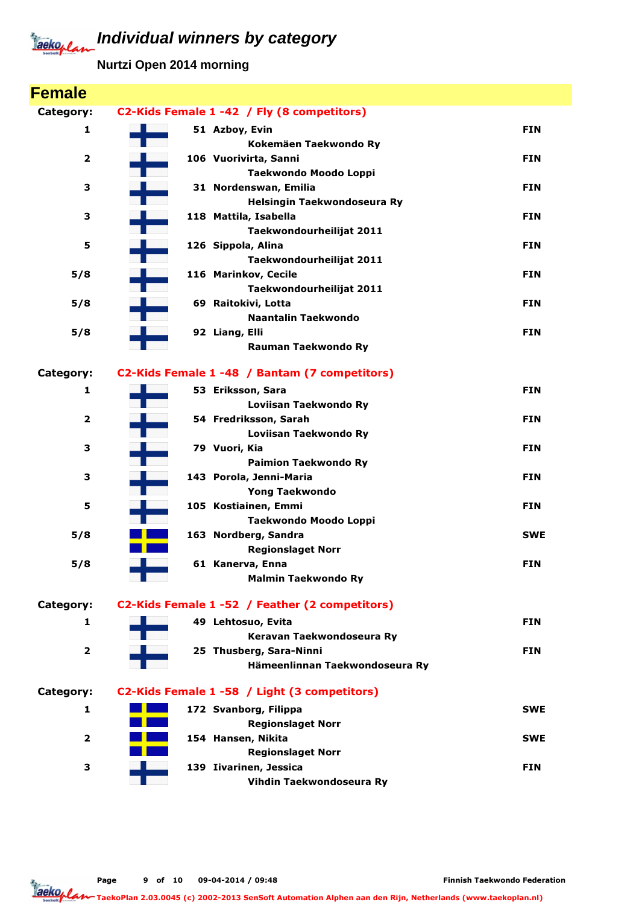# **Individual winners by category**

Jackeplan

**Nurtzi Open 2014 morning**

| <b>Female</b>           |                                                |            |
|-------------------------|------------------------------------------------|------------|
| Category:               | C2-Kids Female 1 -42 / Fly (8 competitors)     |            |
| 1                       | 51 Azboy, Evin                                 | <b>FIN</b> |
|                         | Kokemäen Taekwondo Ry                          |            |
| $\overline{\mathbf{2}}$ | 106 Vuorivirta, Sanni                          | <b>FIN</b> |
|                         | Taekwondo Moodo Loppi                          |            |
| 3                       | 31 Nordenswan, Emilia                          | <b>FIN</b> |
|                         | Helsingin Taekwondoseura Ry                    |            |
| 3                       | 118 Mattila, Isabella                          | <b>FIN</b> |
| 5                       | Taekwondourheilijat 2011<br>126 Sippola, Alina | <b>FIN</b> |
|                         | Taekwondourheilijat 2011                       |            |
| 5/8                     | 116 Marinkov, Cecile                           | <b>FIN</b> |
|                         | Taekwondourheilijat 2011                       |            |
| 5/8                     | 69 Raitokivi, Lotta                            | <b>FIN</b> |
|                         | <b>Naantalin Taekwondo</b>                     |            |
| 5/8                     | 92 Liang, Elli                                 | <b>FIN</b> |
|                         | Rauman Taekwondo Ry                            |            |
| Category:               | C2-Kids Female 1 -48 / Bantam (7 competitors)  |            |
| 1                       | 53 Eriksson, Sara                              | <b>FIN</b> |
|                         | Loviisan Taekwondo Ry                          |            |
| $\overline{\mathbf{2}}$ | 54 Fredriksson, Sarah                          | <b>FIN</b> |
|                         | Loviisan Taekwondo Ry                          |            |
| з                       | 79 Vuori, Kia                                  | <b>FIN</b> |
|                         | <b>Paimion Taekwondo Ry</b>                    |            |
| 3                       | 143 Porola, Jenni-Maria                        | <b>FIN</b> |
|                         | <b>Yong Taekwondo</b>                          |            |
| 5                       | 105 Kostiainen, Emmi<br>Taekwondo Moodo Loppi  | <b>FIN</b> |
| 5/8                     | 163 Nordberg, Sandra                           | <b>SWE</b> |
|                         | <b>Regionslaget Norr</b>                       |            |
| 5/8                     | 61 Kanerva, Enna                               | <b>FIN</b> |
|                         | <b>Malmin Taekwondo Ry</b>                     |            |
| Category:               | C2-Kids Female 1 -52 / Feather (2 competitors) |            |
| 1                       | 49 Lehtosuo, Evita                             | <b>FIN</b> |
|                         | Keravan Taekwondoseura Ry                      |            |
| $\overline{\mathbf{2}}$ | 25 Thusberg, Sara-Ninni                        | <b>FIN</b> |
|                         | Hämeenlinnan Taekwondoseura Ry                 |            |
| Category:               | C2-Kids Female 1 -58 / Light (3 competitors)   |            |
| 1                       | 172 Svanborg, Filippa                          | <b>SWE</b> |
|                         | <b>Regionslaget Norr</b>                       |            |
| $\overline{\mathbf{2}}$ | 154 Hansen, Nikita                             | <b>SWE</b> |
|                         | <b>Regionslaget Norr</b>                       |            |
| 3                       | 139 Iivarinen, Jessica                         | <b>FIN</b> |
|                         | Vihdin Taekwondoseura Ry                       |            |

Jackoplan